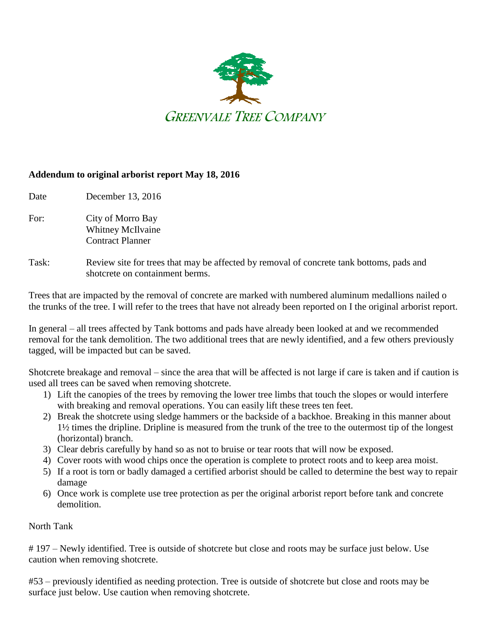

## **Addendum to original arborist report May 18, 2016**

Date December 13, 2016

- For: City of Morro Bay Whitney McIlvaine Contract Planner
- Task: Review site for trees that may be affected by removal of concrete tank bottoms, pads and shotcrete on containment berms.

Trees that are impacted by the removal of concrete are marked with numbered aluminum medallions nailed o the trunks of the tree. I will refer to the trees that have not already been reported on I the original arborist report.

In general – all trees affected by Tank bottoms and pads have already been looked at and we recommended removal for the tank demolition. The two additional trees that are newly identified, and a few others previously tagged, will be impacted but can be saved.

Shotcrete breakage and removal – since the area that will be affected is not large if care is taken and if caution is used all trees can be saved when removing shotcrete.

- 1) Lift the canopies of the trees by removing the lower tree limbs that touch the slopes or would interfere with breaking and removal operations. You can easily lift these trees ten feet.
- 2) Break the shotcrete using sledge hammers or the backside of a backhoe. Breaking in this manner about 1½ times the dripline. Dripline is measured from the trunk of the tree to the outermost tip of the longest (horizontal) branch.
- 3) Clear debris carefully by hand so as not to bruise or tear roots that will now be exposed.
- 4) Cover roots with wood chips once the operation is complete to protect roots and to keep area moist.
- 5) If a root is torn or badly damaged a certified arborist should be called to determine the best way to repair damage
- 6) Once work is complete use tree protection as per the original arborist report before tank and concrete demolition.

North Tank

# 197 – Newly identified. Tree is outside of shotcrete but close and roots may be surface just below. Use caution when removing shotcrete.

#53 – previously identified as needing protection. Tree is outside of shotcrete but close and roots may be surface just below. Use caution when removing shotcrete.